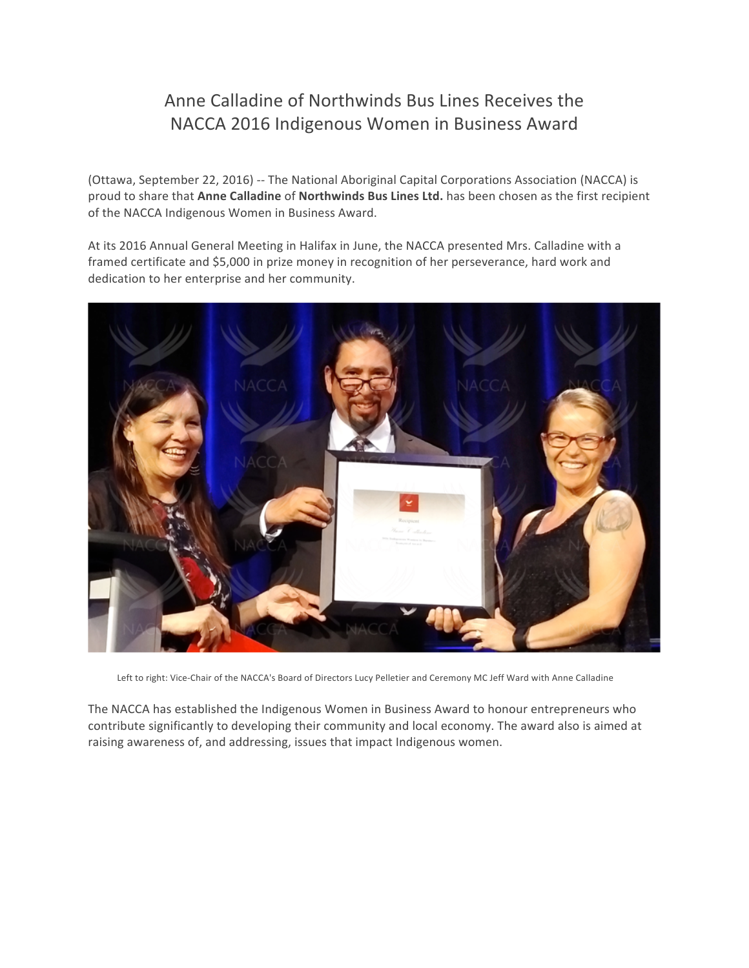## Anne Calladine of Northwinds Bus Lines Receives the NACCA 2016 Indigenous Women in Business Award

(Ottawa, September 22, 2016) -- The National Aboriginal Capital Corporations Association (NACCA) is proud to share that Anne Calladine of Northwinds Bus Lines Ltd. has been chosen as the first recipient of the NACCA Indigenous Women in Business Award.

At its 2016 Annual General Meeting in Halifax in June, the NACCA presented Mrs. Calladine with a framed certificate and \$5,000 in prize money in recognition of her perseverance, hard work and dedication to her enterprise and her community.



Left to right: Vice-Chair of the NACCA's Board of Directors Lucy Pelletier and Ceremony MC Jeff Ward with Anne Calladine

The NACCA has established the Indigenous Women in Business Award to honour entrepreneurs who contribute significantly to developing their community and local economy. The award also is aimed at raising awareness of, and addressing, issues that impact Indigenous women.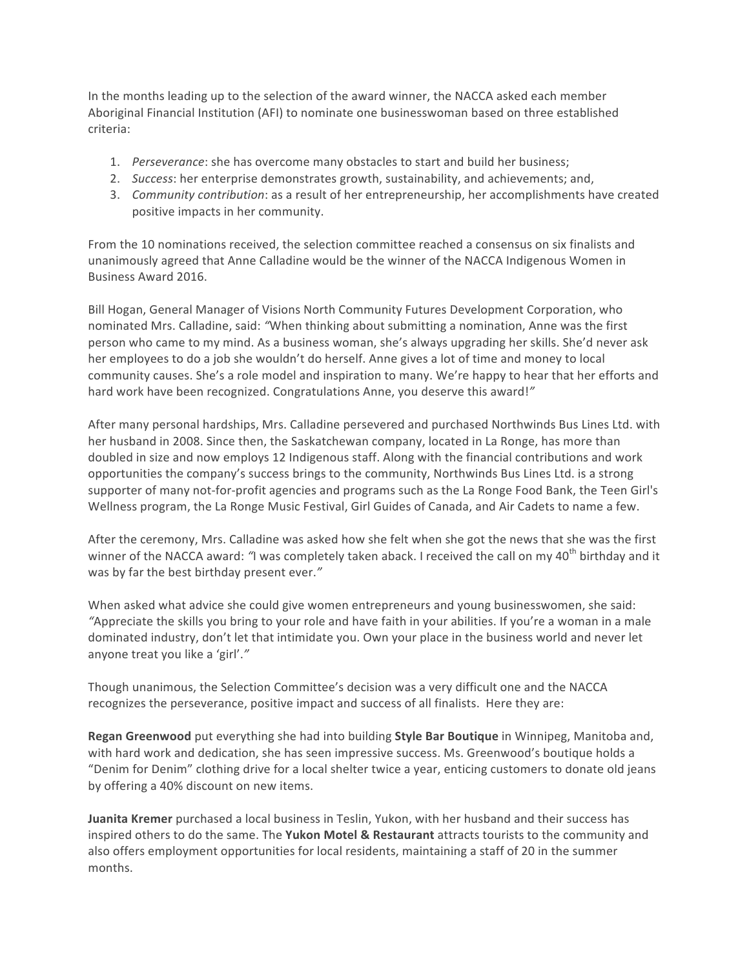In the months leading up to the selection of the award winner, the NACCA asked each member Aboriginal Financial Institution (AFI) to nominate one businesswoman based on three established criteria:

- 1. *Perseverance*: she has overcome many obstacles to start and build her business;
- 2. *Success*: her enterprise demonstrates growth, sustainability, and achievements; and,
- 3. Community contribution: as a result of her entrepreneurship, her accomplishments have created positive impacts in her community.

From the 10 nominations received, the selection committee reached a consensus on six finalists and unanimously agreed that Anne Calladine would be the winner of the NACCA Indigenous Women in Business Award 2016.

Bill Hogan, General Manager of Visions North Community Futures Development Corporation, who nominated Mrs. Calladine, said: *"When thinking about submitting a nomination*, Anne was the first person who came to my mind. As a business woman, she's always upgrading her skills. She'd never ask her employees to do a job she wouldn't do herself. Anne gives a lot of time and money to local community causes. She's a role model and inspiration to many. We're happy to hear that her efforts and hard work have been recognized. Congratulations Anne, you deserve this award!"

After many personal hardships, Mrs. Calladine persevered and purchased Northwinds Bus Lines Ltd. with her husband in 2008. Since then, the Saskatchewan company, located in La Ronge, has more than doubled in size and now employs 12 Indigenous staff. Along with the financial contributions and work opportunities the company's success brings to the community, Northwinds Bus Lines Ltd. is a strong supporter of many not-for-profit agencies and programs such as the La Ronge Food Bank, the Teen Girl's Wellness program, the La Ronge Music Festival, Girl Guides of Canada, and Air Cadets to name a few.

After the ceremony, Mrs. Calladine was asked how she felt when she got the news that she was the first winner of the NACCA award: "I was completely taken aback. I received the call on my 40<sup>th</sup> birthday and it was by far the best birthday present ever."

When asked what advice she could give women entrepreneurs and young businesswomen, she said: "Appreciate the skills you bring to your role and have faith in your abilities. If you're a woman in a male dominated industry, don't let that intimidate you. Own your place in the business world and never let anyone treat you like a 'girl'."

Though unanimous, the Selection Committee's decision was a very difficult one and the NACCA recognizes the perseverance, positive impact and success of all finalists. Here they are:

**Regan Greenwood** put everything she had into building **Style Bar Boutique** in Winnipeg, Manitoba and, with hard work and dedication, she has seen impressive success. Ms. Greenwood's boutique holds a "Denim for Denim" clothing drive for a local shelter twice a year, enticing customers to donate old jeans by offering a 40% discount on new items.

**Juanita Kremer** purchased a local business in Teslin, Yukon, with her husband and their success has inspired others to do the same. The **Yukon Motel & Restaurant** attracts tourists to the community and also offers employment opportunities for local residents, maintaining a staff of 20 in the summer months.